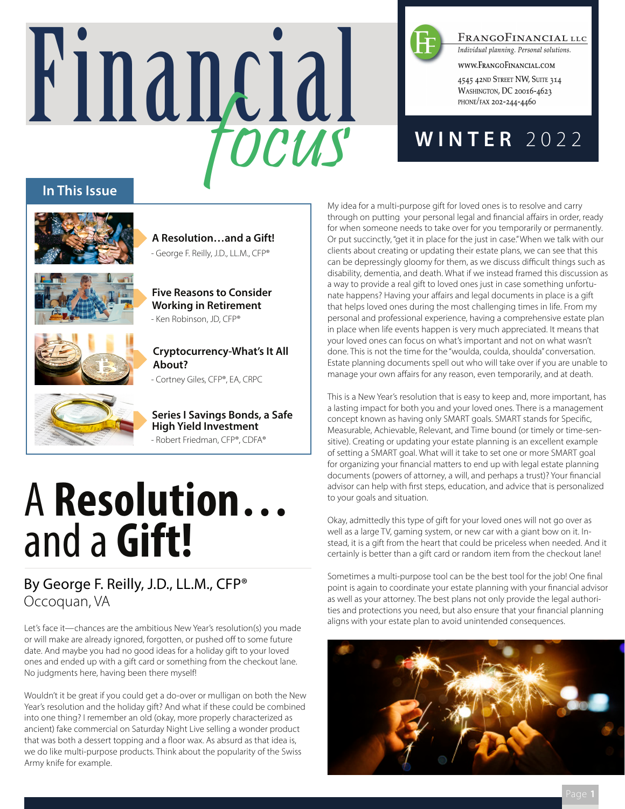# Financial focus



FRANGOFINANCIAL LLC

Individual planning. Personal solutions.

WWW.FRANGOFINANCIAL.COM

4545 42ND STREET NW, SUITE 314 WASHINGTON, DC 20016-4623 PHONE/FAX 202-244-4460

### **WINTER** 2022

#### **In This Issue**



**A Resolution…and a Gift!** - George F. Reilly, J.D., LL.M., CFP®



**Five Reasons to Consider Working in Retirement** - Ken Robinson, JD, CFP®



**Cryptocurrency-What's It All About?**

- Cortney Giles, CFP®, EA, CRPC

**Series I Savings Bonds, a Safe High Yield Investment** - Robert Friedman, CFP®, CDFA®

## A **Resolution…** and a **Gift!**

#### By George F. Reilly, J.D., LL.M., CFP® Occoquan, VA

Let's face it—chances are the ambitious New Year's resolution(s) you made or will make are already ignored, forgotten, or pushed off to some future date. And maybe you had no good ideas for a holiday gift to your loved ones and ended up with a gift card or something from the checkout lane. No judgments here, having been there myself!

Wouldn't it be great if you could get a do-over or mulligan on both the New Year's resolution and the holiday gift? And what if these could be combined into one thing? I remember an old (okay, more properly characterized as ancient) fake commercial on Saturday Night Live selling a wonder product that was both a dessert topping and a floor wax. As absurd as that idea is, we do like multi-purpose products. Think about the popularity of the Swiss Army knife for example.

My idea for a multi-purpose gift for loved ones is to resolve and carry through on putting your personal legal and financial affairs in order, ready for when someone needs to take over for you temporarily or permanently. Or put succinctly, "get it in place for the just in case." When we talk with our clients about creating or updating their estate plans, we can see that this can be depressingly gloomy for them, as we discuss difficult things such as disability, dementia, and death. What if we instead framed this discussion as a way to provide a real gift to loved ones just in case something unfortunate happens? Having your affairs and legal documents in place is a gift that helps loved ones during the most challenging times in life. From my personal and professional experience, having a comprehensive estate plan in place when life events happen is very much appreciated. It means that your loved ones can focus on what's important and not on what wasn't done. This is not the time for the "woulda, coulda, shoulda" conversation. Estate planning documents spell out who will take over if you are unable to manage your own affairs for any reason, even temporarily, and at death.

This is a New Year's resolution that is easy to keep and, more important, has a lasting impact for both you and your loved ones. There is a management concept known as having only SMART goals. SMART stands for Specific, Measurable, Achievable, Relevant, and Time bound (or timely or time-sensitive). Creating or updating your estate planning is an excellent example of setting a SMART goal. What will it take to set one or more SMART goal for organizing your financial matters to end up with legal estate planning documents (powers of attorney, a will, and perhaps a trust)? Your financial advisor can help with first steps, education, and advice that is personalized to your goals and situation.

Okay, admittedly this type of gift for your loved ones will not go over as well as a large TV, gaming system, or new car with a giant bow on it. Instead, it is a gift from the heart that could be priceless when needed. And it certainly is better than a gift card or random item from the checkout lane!

Sometimes a multi-purpose tool can be the best tool for the job! One final point is again to coordinate your estate planning with your financial advisor as well as your attorney. The best plans not only provide the legal authorities and protections you need, but also ensure that your financial planning aligns with your estate plan to avoid unintended consequences.

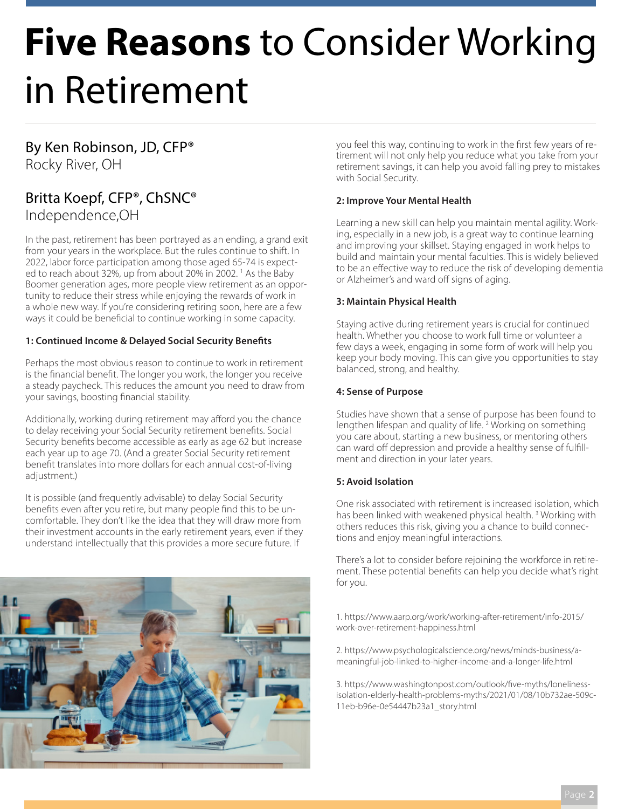## **Five Reasons** to Consider Working in Retirement

#### By Ken Robinson, JD, CFP® Rocky River, OH

#### Britta Koepf, CFP®, ChSNC® Independence,OH

In the past, retirement has been portrayed as an ending, a grand exit from your years in the workplace. But the rules continue to shift. In 2022, labor force participation among those aged 65-74 is expected to reach about 32%, up from about 20% in 2002.<sup>1</sup> As the Baby Boomer generation ages, more people view retirement as an opportunity to reduce their stress while enjoying the rewards of work in a whole new way. If you're considering retiring soon, here are a few ways it could be beneficial to continue working in some capacity.

#### **1: Continued Income & Delayed Social Security Benefits**

Perhaps the most obvious reason to continue to work in retirement is the financial benefit. The longer you work, the longer you receive a steady paycheck. This reduces the amount you need to draw from your savings, boosting financial stability.

Additionally, working during retirement may afford you the chance to delay receiving your Social Security retirement benefits. Social Security benefits become accessible as early as age 62 but increase each year up to age 70. (And a greater Social Security retirement benefit translates into more dollars for each annual cost-of-living adjustment.)

It is possible (and frequently advisable) to delay Social Security benefits even after you retire, but many people find this to be uncomfortable. They don't like the idea that they will draw more from their investment accounts in the early retirement years, even if they understand intellectually that this provides a more secure future. If



you feel this way, continuing to work in the first few years of retirement will not only help you reduce what you take from your retirement savings, it can help you avoid falling prey to mistakes with Social Security.

#### **2: Improve Your Mental Health**

Learning a new skill can help you maintain mental agility. Working, especially in a new job, is a great way to continue learning and improving your skillset. Staying engaged in work helps to build and maintain your mental faculties. This is widely believed to be an effective way to reduce the risk of developing dementia or Alzheimer's and ward off signs of aging.

#### **3: Maintain Physical Health**

Staying active during retirement years is crucial for continued health. Whether you choose to work full time or volunteer a few days a week, engaging in some form of work will help you keep your body moving. This can give you opportunities to stay balanced, strong, and healthy.

#### **4: Sense of Purpose**

Studies have shown that a sense of purpose has been found to lengthen lifespan and quality of life. <sup>2</sup> Working on something you care about, starting a new business, or mentoring others can ward off depression and provide a healthy sense of fulfillment and direction in your later years.

#### **5: Avoid Isolation**

One risk associated with retirement is increased isolation, which has been linked with weakened physical health.<sup>3</sup> Working with others reduces this risk, giving you a chance to build connections and enjoy meaningful interactions.

There's a lot to consider before rejoining the workforce in retirement. These potential benefits can help you decide what's right for you.

1. https://www.aarp.org/work/working-after-retirement/info-2015/ work-over-retirement-happiness.html

2. https://www.psychologicalscience.org/news/minds-business/ameaningful-job-linked-to-higher-income-and-a-longer-life.html

3. https://www.washingtonpost.com/outlook/five-myths/lonelinessisolation-elderly-health-problems-myths/2021/01/08/10b732ae-509c-11eb-b96e-0e54447b23a1\_story.html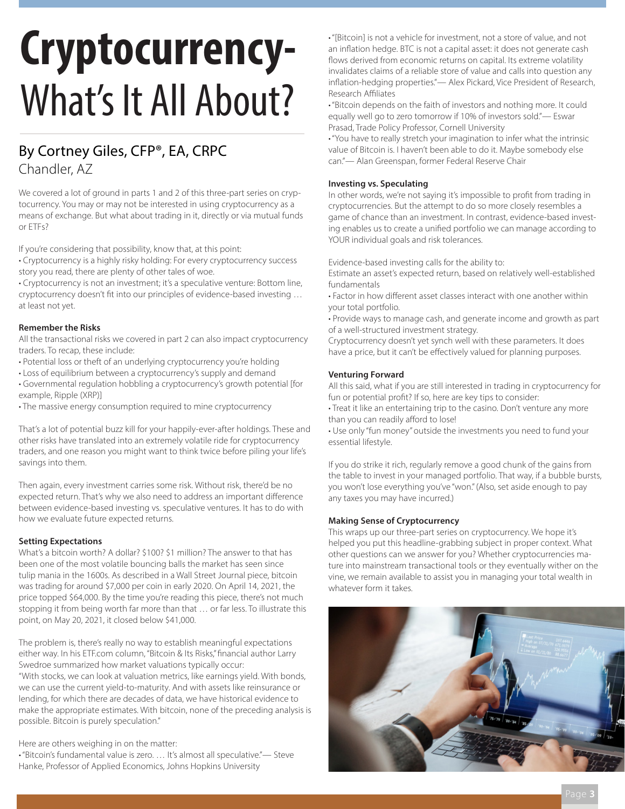# **Cryptocurrency-**What's It All About?

#### By Cortney Giles, CFP®, EA, CRPC Chandler, AZ

We covered a lot of ground in parts 1 and 2 of this three-part series on cryptocurrency. You may or may not be interested in using cryptocurrency as a means of exchange. But what about trading in it, directly or via mutual funds or ETFs?

If you're considering that possibility, know that, at this point:

• Cryptocurrency is a highly risky holding: For every cryptocurrency success story you read, there are plenty of other tales of woe.

• Cryptocurrency is not an investment; it's a speculative venture: Bottom line, cryptocurrency doesn't fit into our principles of evidence-based investing … at least not yet.

#### **Remember the Risks**

All the transactional risks we covered in part 2 can also impact cryptocurrency traders. To recap, these include:

- Potential loss or theft of an underlying cryptocurrency you're holding
- Loss of equilibrium between a cryptocurrency's supply and demand
- Governmental regulation hobbling a cryptocurrency's growth potential [for example, Ripple (XRP)]
- The massive energy consumption required to mine cryptocurrency

That's a lot of potential buzz kill for your happily-ever-after holdings. These and other risks have translated into an extremely volatile ride for cryptocurrency traders, and one reason you might want to think twice before piling your life's savings into them.

Then again, every investment carries some risk. Without risk, there'd be no expected return. That's why we also need to address an important difference between evidence-based investing vs. speculative ventures. It has to do with how we evaluate future expected returns.

#### **Setting Expectations**

What's a bitcoin worth? A dollar? \$100? \$1 million? The answer to that has been one of the most volatile bouncing balls the market has seen since tulip mania in the 1600s. As described in a Wall Street Journal piece, bitcoin was trading for around \$7,000 per coin in early 2020. On April 14, 2021, the price topped \$64,000. By the time you're reading this piece, there's not much stopping it from being worth far more than that … or far less. To illustrate this point, on May 20, 2021, it closed below \$41,000.

The problem is, there's really no way to establish meaningful expectations either way. In his ETF.com column, "Bitcoin & Its Risks," financial author Larry Swedroe summarized how market valuations typically occur:

"With stocks, we can look at valuation metrics, like earnings yield. With bonds, we can use the current yield-to-maturity. And with assets like reinsurance or lending, for which there are decades of data, we have historical evidence to make the appropriate estimates. With bitcoin, none of the preceding analysis is possible. Bitcoin is purely speculation."

Here are others weighing in on the matter:

• "Bitcoin's fundamental value is zero. … It's almost all speculative."— Steve Hanke, Professor of Applied Economics, Johns Hopkins University

• "[Bitcoin] is not a vehicle for investment, not a store of value, and not an inflation hedge. BTC is not a capital asset: it does not generate cash flows derived from economic returns on capital. Its extreme volatility invalidates claims of a reliable store of value and calls into question any inflation-hedging properties."— Alex Pickard, Vice President of Research, Research Affiliates

• "Bitcoin depends on the faith of investors and nothing more. It could equally well go to zero tomorrow if 10% of investors sold."— Eswar Prasad, Trade Policy Professor, Cornell University

• "You have to really stretch your imagination to infer what the intrinsic value of Bitcoin is. I haven't been able to do it. Maybe somebody else can."— Alan Greenspan, former Federal Reserve Chair

#### **Investing vs. Speculating**

In other words, we're not saying it's impossible to profit from trading in cryptocurrencies. But the attempt to do so more closely resembles a game of chance than an investment. In contrast, evidence-based investing enables us to create a unified portfolio we can manage according to YOUR individual goals and risk tolerances.

Evidence-based investing calls for the ability to:

Estimate an asset's expected return, based on relatively well-established fundamentals

• Factor in how different asset classes interact with one another within your total portfolio.

• Provide ways to manage cash, and generate income and growth as part of a well-structured investment strategy.

Cryptocurrency doesn't yet synch well with these parameters. It does have a price, but it can't be effectively valued for planning purposes.

#### **Venturing Forward**

All this said, what if you are still interested in trading in cryptocurrency for fun or potential profit? If so, here are key tips to consider:

• Treat it like an entertaining trip to the casino. Don't venture any more than you can readily afford to lose!

• Use only "fun money" outside the investments you need to fund your essential lifestyle.

If you do strike it rich, regularly remove a good chunk of the gains from the table to invest in your managed portfolio. That way, if a bubble bursts, you won't lose everything you've "won." (Also, set aside enough to pay any taxes you may have incurred.)

#### **Making Sense of Cryptocurrency**

This wraps up our three-part series on cryptocurrency. We hope it's helped you put this headline-grabbing subject in proper context. What other questions can we answer for you? Whether cryptocurrencies mature into mainstream transactional tools or they eventually wither on the vine, we remain available to assist you in managing your total wealth in whatever form it takes.